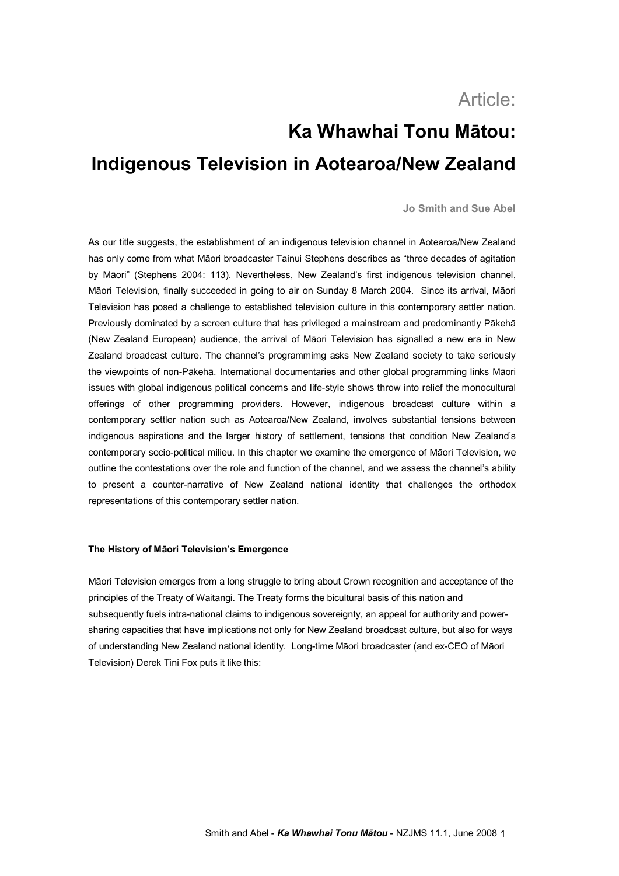# Article:

# **Ka Whawhai Tonu Mātou: Indigenous Television in Aotearoa/New Zealand**

# **Jo Smith and Sue Abel**

As our title suggests, the establishment of an indigenous television channel in Aotearoa/New Zealand has only come from what Māori broadcaster Tainui Stephens describes as "three decades of agitation by Māori" (Stephens 2004: 113). Nevertheless, New Zealand's first indigenous television channel, Māori Television, finally succeeded in going to air on Sunday 8 March 2004. Since its arrival, Māori Television has posed a challenge to established television culture in this contemporary settler nation. Previously dominated by a screen culture that has privileged a mainstream and predominantly Pākehā (New Zealand European) audience, the arrival of Māori Television has signalled a new era in New Zealand broadcast culture. The channel's programmimg asks New Zealand society to take seriously the viewpoints of nonPākehā. International documentaries and other global programming links Māori issues with global indigenous political concerns and life-style shows throw into relief the monocultural offerings of other programming providers. However, indigenous broadcast culture within a contemporary settler nation such as Aotearoa/New Zealand, involves substantial tensions between indigenous aspirations and the larger history of settlement, tensions that condition New Zealand's contemporary socio-political milieu. In this chapter we examine the emergence of Māori Television, we outline the contestations over the role and function of the channel, and we assess the channel's ability to present a counter-narrative of New Zealand national identity that challenges the orthodox representations of this contemporary settler nation.

## **The History of Māori Television's Emergence**

Māori Television emerges from a long struggle to bring about Crown recognition and acceptance of the principles of the Treaty of Waitangi. The Treaty forms the bicultural basis of this nation and subsequently fuels intra-national claims to indigenous sovereignty, an appeal for authority and powersharing capacities that have implications not only for New Zealand broadcast culture, but also for ways of understanding New Zealand national identity. Long-time Māori broadcaster (and ex-CEO of Māori Television) Derek Tini Fox puts it like this: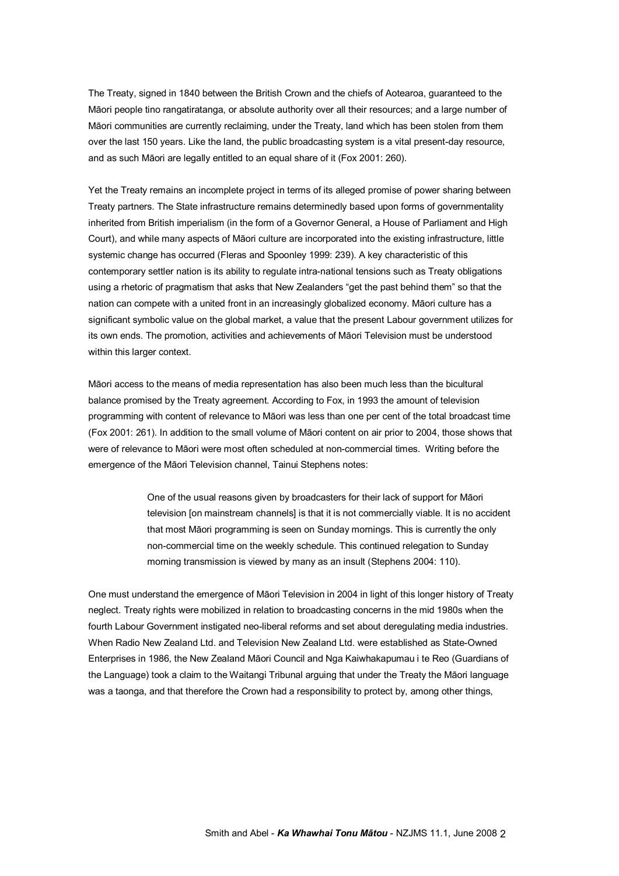The Treaty, signed in 1840 between the British Crown and the chiefs of Aotearoa, guaranteed to the Māori people tino rangatiratanga, or absolute authority over all their resources; and a large number of Māori communities are currently reclaiming, under the Treaty, land which has been stolen from them over the last 150 years. Like the land, the public broadcasting system is a vital present-day resource, and as such Māori are legally entitled to an equal share of it (Fox 2001: 260).

Yet the Treaty remains an incomplete project in terms of its alleged promise of power sharing between Treaty partners. The State infrastructure remains determinedly based upon forms of governmentality inherited from British imperialism (in the form of a Governor General, a House of Parliament and High Court), and while many aspects of Māori culture are incorporated into the existing infrastructure, little systemic change has occurred (Fleras and Spoonley 1999: 239). A key characteristic of this contemporary settler nation is its ability to regulate intra-national tensions such as Treaty obligations using a rhetoric of pragmatism that asks that New Zealanders "get the past behind them" so that the nation can compete with a united front in an increasingly globalized economy. Māori culture has a significant symbolic value on the global market, a value that the present Labour government utilizes for its own ends. The promotion, activities and achievements of Māori Television must be understood within this larger context.

Māori access to the means of media representation has also been much less than the bicultural balance promised by the Treaty agreement. According to Fox, in 1993 the amount of television programming with content of relevance to Māori was less than one per cent of the total broadcast time (Fox 2001: 261). In addition to the small volume of Māori content on air prior to 2004, those shows that were of relevance to Māori were most often scheduled at non-commercial times. Writing before the emergence of the Māori Television channel, Tainui Stephens notes:

> One of the usual reasons given by broadcasters for their lack of support for Māori television [on mainstream channels] is that it is not commercially viable. It is no accident that most Māori programming is seen on Sunday mornings. This is currently the only non-commercial time on the weekly schedule. This continued relegation to Sunday morning transmission is viewed by many as an insult (Stephens 2004: 110).

One must understand the emergence of Māori Television in 2004 in light of this longer history of Treaty neglect. Treaty rights were mobilized in relation to broadcasting concerns in the mid 1980s when the fourth Labour Government instigated neo-liberal reforms and set about deregulating media industries. When Radio New Zealand Ltd. and Television New Zealand Ltd. were established as State-Owned Enterprises in 1986, the New Zealand Māori Council and Nga Kaiwhakapumau i te Reo (Guardians of the Language) took a claim to the Waitangi Tribunal arguing that under the Treaty the Māori language was a taonga, and that therefore the Crown had a responsibility to protect by, among other things,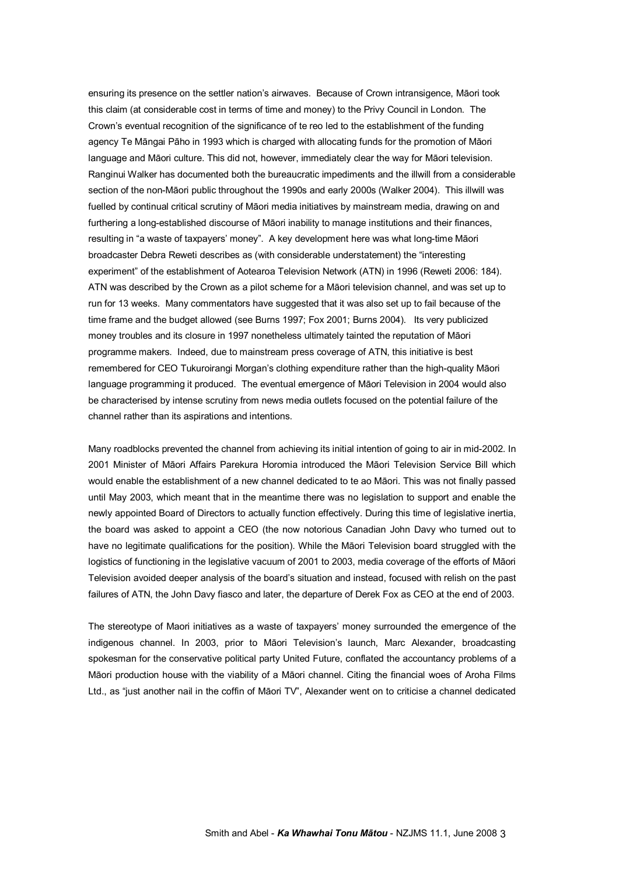ensuring its presence on the settler nation's airwaves. Because of Crown intransigence, Māori took this claim (at considerable cost in terms of time and money) to the Privy Council in London. The Crown's eventual recognition of the significance of te reo led to the establishment of the funding agency Te Māngai Pāho in 1993 which is charged with allocating funds for the promotion of Māori language and Māori culture. This did not, however, immediately clear the way for Māori television. Ranginui Walker has documented both the bureaucratic impediments and the illwill from a considerable section of the non-Māori public throughout the 1990s and early 2000s (Walker 2004). This illwill was fuelled by continual critical scrutiny of Māori media initiatives by mainstream media, drawing on and furthering a long-established discourse of Māori inability to manage institutions and their finances, resulting in "a waste of taxpayers' money". A key development here was what long-time Māori broadcaster Debra Reweti describes as (with considerable understatement) the "interesting experiment" of the establishment of Aotearoa Television Network (ATN) in 1996 (Reweti 2006: 184). ATN was described by the Crown as a pilot scheme for a Māori television channel, and was set up to run for 13 weeks. Many commentators have suggested that it was also set up to fail because of the time frame and the budget allowed (see Burns 1997; Fox 2001; Burns 2004). Its very publicized money troubles and its closure in 1997 nonetheless ultimately tainted the reputation of Māori programme makers. Indeed, due to mainstream press coverage of ATN, this initiative is best remembered for CEO Tukuroirangi Morgan's clothing expenditure rather than the high-quality Māori language programming it produced. The eventual emergence of Māori Television in 2004 would also be characterised by intense scrutiny from news media outlets focused on the potential failure of the channel rather than its aspirations and intentions.

Many roadblocks prevented the channel from achieving its initial intention of going to air in mid2002. In 2001 Minister of Māori Affairs Parekura Horomia introduced the Māori Television Service Bill which would enable the establishment of a new channel dedicated to te ao Māori. This was not finally passed until May 2003, which meant that in the meantime there was no legislation to support and enable the newly appointed Board of Directors to actually function effectively. During this time of legislative inertia, the board was asked to appoint a CEO (the now notorious Canadian John Davy who turned out to have no legitimate qualifications for the position). While the Māori Television board struggled with the logistics of functioning in the legislative vacuum of 2001 to 2003, media coverage of the efforts of Māori Television avoided deeper analysis of the board's situation and instead, focused with relish on the past failures of ATN, the John Davy fiasco and later, the departure of Derek Fox as CEO at the end of 2003.

The stereotype of Maori initiatives as a waste of taxpayers' money surrounded the emergence of the indigenous channel. In 2003, prior to Māori Television's launch, Marc Alexander, broadcasting spokesman for the conservative political party United Future, conflated the accountancy problems of a Māori production house with the viability of a Māori channel. Citing the financial woes of Aroha Films Ltd., as "just another nail in the coffin of Māori TV", Alexander went on to criticise a channel dedicated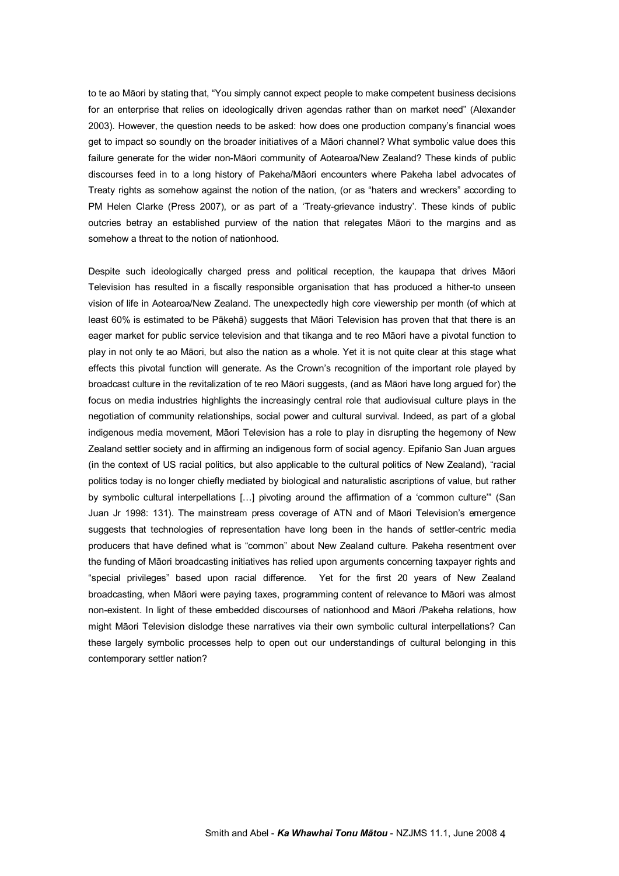to te ao Māori by stating that, "You simply cannot expect people to make competent business decisions for an enterprise that relies on ideologically driven agendas rather than on market need" (Alexander 2003). However, the question needs to be asked: how does one production company's financial woes get to impact so soundly on the broader initiatives of a Māori channel? What symbolic value does this failure generate for the wider non-Māori community of Aotearoa/New Zealand? These kinds of public discourses feed in to a long history of Pakeha/Māori encounters where Pakeha label advocates of Treaty rights as somehow against the notion of the nation, (or as "haters and wreckers" according to PM Helen Clarke (Press 2007), or as part of a 'Treaty-grievance industry'. These kinds of public outcries betray an established purview of the nation that relegates Māori to the margins and as somehow a threat to the notion of nationhood.

Despite such ideologically charged press and political reception, the kaupapa that drives Māori Television has resulted in a fiscally responsible organisation that has produced a hither-to unseen vision of life in Aotearoa/New Zealand. The unexpectedly high core viewership per month (of which at least 60% is estimated to be Pākehā) suggests that Māori Television has proven that that there is an eager market for public service television and that tikanga and te reo Māori have a pivotal function to play in not only te ao Māori, but also the nation as a whole. Yet it is not quite clear at this stage what effects this pivotal function will generate. As the Crown's recognition of the important role played by broadcast culture in the revitalization of te reo Māori suggests, (and as Māori have long argued for) the focus on media industries highlights the increasingly central role that audiovisual culture plays in the negotiation of community relationships, social power and cultural survival. Indeed, as part of a global indigenous media movement, Māori Television has a role to play in disrupting the hegemony of New Zealand settler society and in affirming an indigenous form of social agency. Epifanio San Juan argues (in the context of US racial politics, but also applicable to the cultural politics of New Zealand), "racial politics today is no longer chiefly mediated by biological and naturalistic ascriptions of value, but rather by symbolic cultural interpellations [...] pivoting around the affirmation of a 'common culture'" (San Juan Jr 1998: 131). The mainstream press coverage of ATN and of Māori Television's emergence suggests that technologies of representation have long been in the hands of settler-centric media producers that have defined what is "common" about New Zealand culture. Pakeha resentment over the funding of Māori broadcasting initiatives has relied upon arguments concerning taxpayer rights and "special privileges" based upon racial difference. Yet for the first 20 years of New Zealand broadcasting, when Māori were paying taxes, programming content of relevance to Māori was almost nonexistent. In light of these embedded discourses of nationhood and Māori /Pakeha relations, how might Māori Television dislodge these narratives via their own symbolic cultural interpellations? Can these largely symbolic processes help to open out our understandings of cultural belonging in this contemporary settler nation?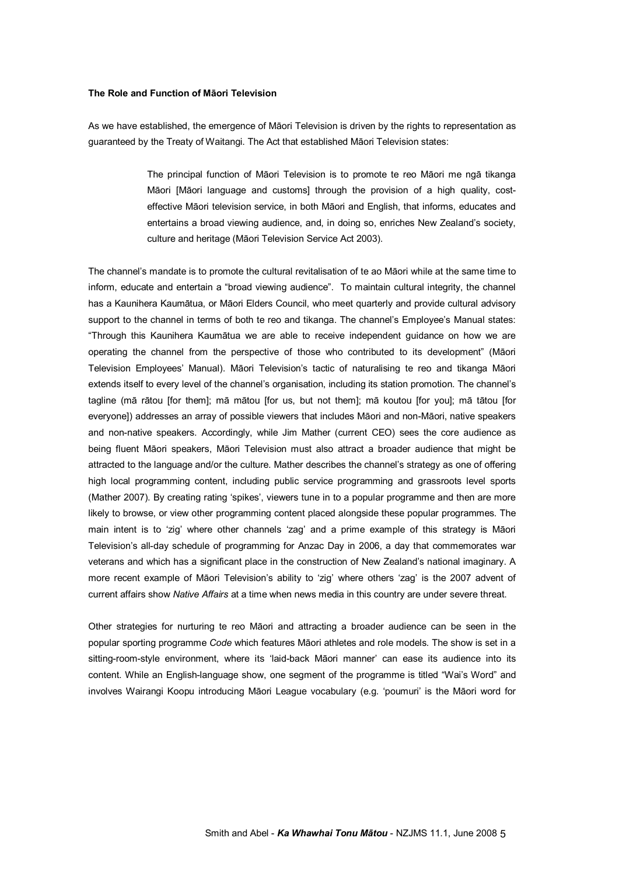### **The Role and Function of Māori Television**

As we have established, the emergence of Māori Television is driven by the rights to representation as guaranteed by the Treaty of Waitangi. The Act that established Māori Television states:

> The principal function of Māori Television is to promote te reo Māori me ngā tikanga Māori [Māori language and customs] through the provision of a high quality, cost effective Māori television service, in both Māori and English, that informs, educates and entertains a broad viewing audience, and, in doing so, enriches New Zealand's society, culture and heritage (Māori Television Service Act 2003).

The channel's mandate is to promote the cultural revitalisation of te ao Māori while at the same time to inform, educate and entertain a "broad viewing audience". To maintain cultural integrity, the channel has a Kaunihera Kaumātua, or Māori Elders Council, who meet quarterly and provide cultural advisory support to the channel in terms of both te reo and tikanga. The channel's Employee's Manual states: "Through this Kaunihera Kaumātua we are able to receive independent guidance on how we are operating the channel from the perspective of those who contributed to its development" (Māori Television Employees' Manual). Māori Television's tactic of naturalising te reo and tikanga Māori extends itself to every level of the channel's organisation, including its station promotion. The channel's tagline (mā rātou [for them]; mā mātou [for us, but not them]; mā koutou [for you]; mā tātou [for everyone]) addresses an array of possible viewers that includes Māori and non-Māori, native speakers and non-native speakers. Accordingly, while Jim Mather (current CEO) sees the core audience as being fluent Māori speakers, Māori Television must also attract a broader audience that might be attracted to the language and/or the culture. Mather describes the channel's strategy as one of offering high local programming content, including public service programming and grassroots level sports (Mather 2007). By creating rating 'spikes', viewers tune in to a popular programme and then are more likely to browse, or view other programming content placed alongside these popular programmes. The main intent is to 'zig' where other channels 'zag' and a prime example of this strategy is Māori Television's all-day schedule of programming for Anzac Day in 2006, a day that commemorates war veterans and which has a significant place in the construction of New Zealand's national imaginary. A more recent example of Māori Television's ability to 'zig' where others 'zag' is the 2007 advent of current affairs show *Native Affairs* at a time when news media in this country are under severe threat.

Other strategies for nurturing te reo Māori and attracting a broader audience can be seen in the popular sporting programme *Code* which features Māori athletes and role models. The show is set in a sitting-room-style environment, where its 'laid-back Māori manner' can ease its audience into its content. While an English-language show, one segment of the programme is titled "Wai's Word" and involves Wairangi Koopu introducing Māori League vocabulary (e.g. 'poumuri' is the Māori word for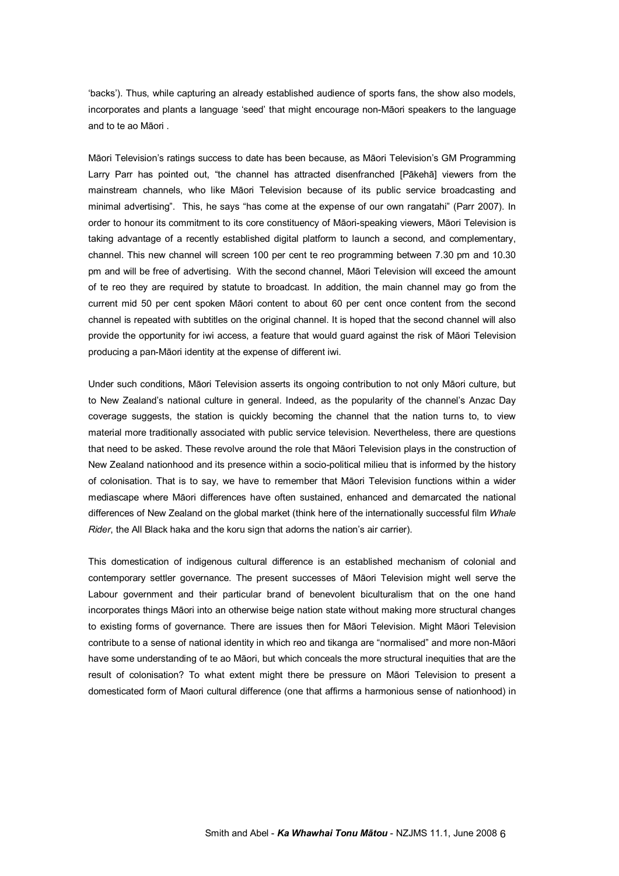'backs'). Thus, while capturing an already established audience of sports fans, the show also models, incorporates and plants a language 'seed' that might encourage non-Māori speakers to the language and to te ao Māori .

Māori Television's ratings success to date has been because, as Māori Television's GM Programming Larry Parr has pointed out, "the channel has attracted disenfranched [Pākehā] viewers from the mainstream channels, who like Māori Television because of its public service broadcasting and minimal advertising". This, he says "has come at the expense of our own rangatahi" (Parr 2007). In order to honour its commitment to its core constituency of Māorispeaking viewers, Māori Television is taking advantage of a recently established digital platform to launch a second, and complementary, channel. This new channel will screen 100 per cent te reo programming between 7.30 pm and 10.30 pm and will be free of advertising. With the second channel, Māori Television will exceed the amount of te reo they are required by statute to broadcast. In addition, the main channel may go from the current mid 50 per cent spoken Māori content to about 60 per cent once content from the second channel is repeated with subtitles on the original channel. It is hoped that the second channel will also provide the opportunity for iwi access, a feature that would guard against the risk of Māori Television producing a pan-Māori identity at the expense of different iwi.

Under such conditions, Māori Television asserts its ongoing contribution to not only Māori culture, but to New Zealand's national culture in general. Indeed, as the popularity of the channel's Anzac Day coverage suggests, the station is quickly becoming the channel that the nation turns to, to view material more traditionally associated with public service television. Nevertheless, there are questions that need to be asked. These revolve around the role that Māori Television plays in the construction of New Zealand nationhood and its presence within a socio-political milieu that is informed by the history of colonisation. That is to say, we have to remember that Māori Television functions within a wider mediascape where Māori differences have often sustained, enhanced and demarcated the national differences of New Zealand on the global market (think here of the internationally successful film *Whale Rider*, the All Black haka and the koru sign that adorns the nation's air carrier).

This domestication of indigenous cultural difference is an established mechanism of colonial and contemporary settler governance. The present successes of Māori Television might well serve the Labour government and their particular brand of benevolent biculturalism that on the one hand incorporates things Māori into an otherwise beige nation state without making more structural changes to existing forms of governance. There are issues then for Māori Television. Might Māori Television contribute to a sense of national identity in which reo and tikanga are "normalised" and more non-Māori have some understanding of te ao Māori, but which conceals the more structural inequities that are the result of colonisation? To what extent might there be pressure on Māori Television to present a domesticated form of Maori cultural difference (one that affirms a harmonious sense of nationhood) in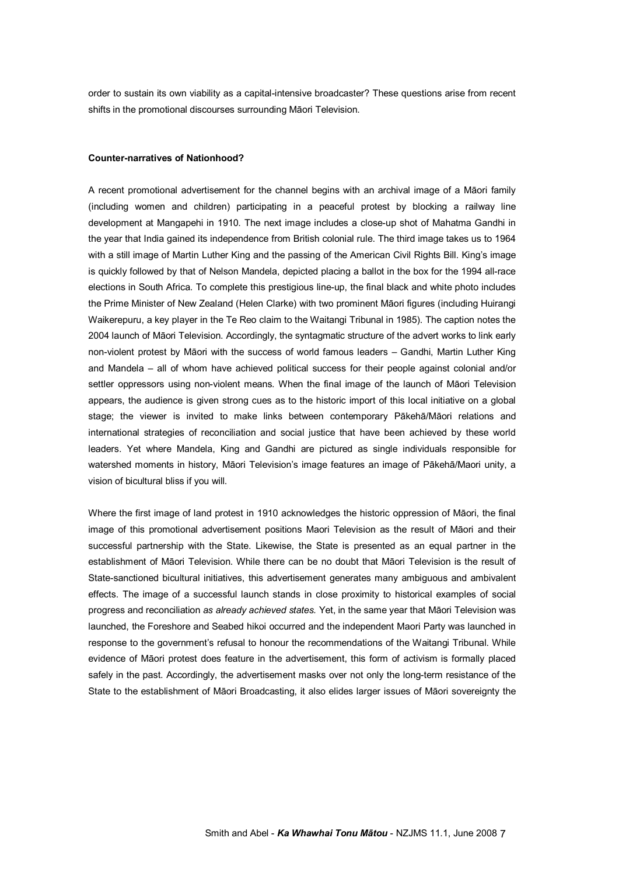order to sustain its own viability as a capital-intensive broadcaster? These questions arise from recent shifts in the promotional discourses surrounding Māori Television.

#### **Counter-narratives of Nationhood?**

A recent promotional advertisement for the channel begins with an archival image of a Māori family (including women and children) participating in a peaceful protest by blocking a railway line development at Mangapehi in 1910. The next image includes a close-up shot of Mahatma Gandhi in the year that India gained its independence from British colonial rule. The third image takes us to 1964 with a still image of Martin Luther King and the passing of the American Civil Rights Bill. King's image is quickly followed by that of Nelson Mandela, depicted placing a ballot in the box for the 1994 allrace elections in South Africa. To complete this prestigious line-up, the final black and white photo includes the Prime Minister of New Zealand (Helen Clarke) with two prominent Māori figures (including Huirangi Waikerepuru, a key player in the Te Reo claim to the Waitangi Tribunal in 1985). The caption notes the 2004 launch of Māori Television. Accordingly, the syntagmatic structure of the advert works to link early non-violent protest by Māori with the success of world famous leaders - Gandhi, Martin Luther King and Mandela - all of whom have achieved political success for their people against colonial and/or settler oppressors using non-violent means. When the final image of the launch of Māori Television appears, the audience is given strong cues as to the historic import of this local initiative on a global stage; the viewer is invited to make links between contemporary Pākehā/Māori relations and international strategies of reconciliation and social justice that have been achieved by these world leaders. Yet where Mandela, King and Gandhi are pictured as single individuals responsible for watershed moments in history, Māori Television's image features an image of Pākehā/Maori unity, a vision of bicultural bliss if you will.

Where the first image of land protest in 1910 acknowledges the historic oppression of Māori, the final image of this promotional advertisement positions Maori Television as the result of Māori and their successful partnership with the State. Likewise, the State is presented as an equal partner in the establishment of Māori Television. While there can be no doubt that Māori Television is the result of State-sanctioned bicultural initiatives, this advertisement generates many ambiguous and ambivalent effects. The image of a successful launch stands in close proximity to historical examples of social progress and reconciliation *as already achieved states.* Yet, in the same year that Māori Television was launched, the Foreshore and Seabed hikoi occurred and the independent Maori Party was launched in response to the government's refusal to honour the recommendations of the Waitangi Tribunal. While evidence of Māori protest does feature in the advertisement, this form of activism is formally placed safely in the past. Accordingly, the advertisement masks over not only the long-term resistance of the State to the establishment of Māori Broadcasting, it also elides larger issues of Māori sovereignty the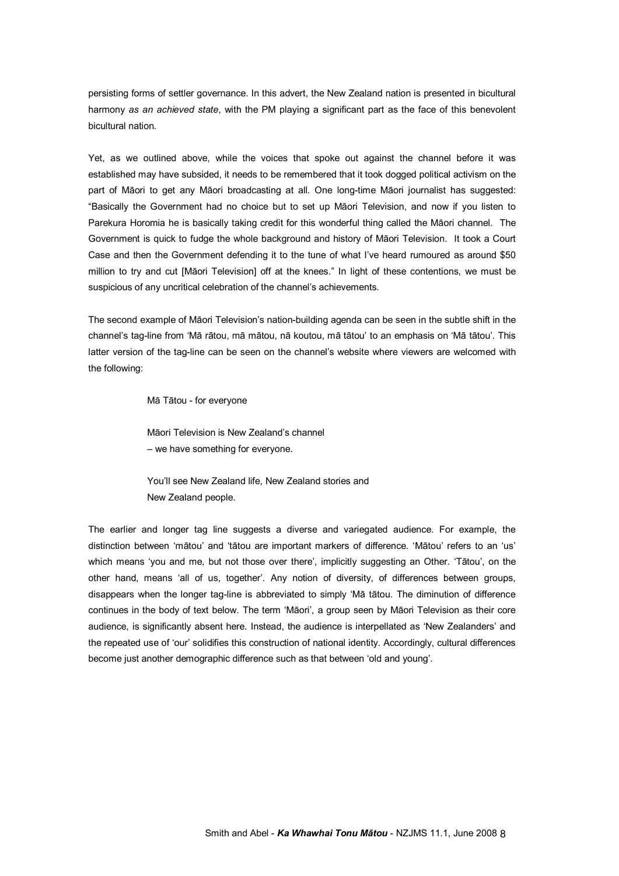persisting forms of settler governance. In this advert, the New Zealand nation is presented in bicultural harmony *as an achieved state*, with the PM playing a significant part as the face of this benevolent bicultural nation.

Yet, as we outlined above, while the voices that spoke out against the channel before it was established may have subsided, it needs to be remembered that it took dogged political activism on the part of Māori to get any Māori broadcasting at all. One long-time Māori journalist has suggested: "Basically the Government had no choice but to set up Māori Television, and now if you listen to Parekura Horomia he is basically taking credit for this wonderful thing called the Māori channel. The Government is quick to fudge the whole background and history of Māori Television. It took a Court Case and then the Government defending it to the tune of what I've heard rumoured as around \$50 million to try and cut [Māori Television] off at the knees." In light of these contentions, we must be suspicious of any uncritical celebration of the channel's achievements.

The second example of Māori Television's nation-building agenda can be seen in the subtle shift in the channel's tagline from 'Mā rātou, mā mātou, nā koutou, mā tātou' to an emphasis on 'Mā tātou'. This latter version of the tag-line can be seen on the channel's website where viewers are welcomed with the following:

Mā Tātou - for everyone

Māori Television is New Zealand's channel – we have something for everyone.

You'll see New Zealand life, New Zealand stories and New Zealand people.

The earlier and longer tag line suggests a diverse and variegated audience. For example, the distinction between 'mātou' and 'tātou are important markers of difference. 'Mātou' refers to an 'us' which means 'you and me, but not those over there', implicitly suggesting an Other. 'Tātou', on the other hand, means 'all of us, together'. Any notion of diversity, of differences between groups, disappears when the longer tag-line is abbreviated to simply 'Mā tātou. The diminution of difference continues in the body of text below. The term 'Māori', a group seen by Māori Television as their core audience, is significantly absent here. Instead, the audience is interpellated as 'New Zealanders' and the repeated use of 'our' solidifies this construction of national identity. Accordingly, cultural differences become just another demographic difference such as that between 'old and young'.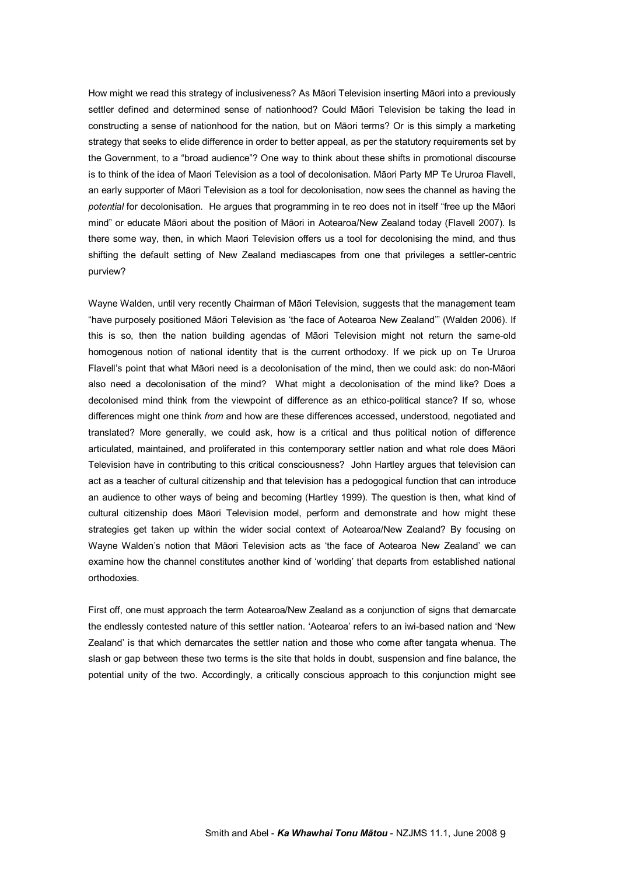How might we read this strategy of inclusiveness? As Māori Television inserting Māori into a previously settler defined and determined sense of nationhood? Could Māori Television be taking the lead in constructing a sense of nationhood for the nation, but on Māori terms? Or is this simply a marketing strategy that seeks to elide difference in order to better appeal, as per the statutory requirements set by the Government, to a "broad audience"? One way to think about these shifts in promotional discourse is to think of the idea of Maori Television as a tool of decolonisation. Māori Party MP Te Ururoa Flavell, an early supporter of Māori Television as a tool for decolonisation, now sees the channel as having the *potential* for decolonisation. He argues that programming in te reo does not in itself "free up the Māori mind" or educate Māori about the position of Māori in Aotearoa/New Zealand today (Flavell 2007). Is there some way, then, in which Maori Television offers us a tool for decolonising the mind, and thus shifting the default setting of New Zealand mediascapes from one that privileges a settler-centric purview?

Wayne Walden, until very recently Chairman of Māori Television, suggests that the management team "have purposely positioned Māori Television as 'the face of Aotearoa New Zealand'" (Walden 2006). If this is so, then the nation building agendas of Māori Television might not return the same-old homogenous notion of national identity that is the current orthodoxy. If we pick up on Te Ururoa Flavell's point that what Māori need is a decolonisation of the mind, then we could ask: do non-Māori also need a decolonisation of the mind? What might a decolonisation of the mind like? Does a decolonised mind think from the viewpoint of difference as an ethico-political stance? If so, whose differences might one think *from* and how are these differences accessed, understood, negotiated and translated? More generally, we could ask, how is a critical and thus political notion of difference articulated, maintained, and proliferated in this contemporary settler nation and what role does Māori Television have in contributing to this critical consciousness? John Hartley argues that television can act as a teacher of cultural citizenship and that television has a pedogogical function that can introduce an audience to other ways of being and becoming (Hartley 1999). The question is then, what kind of cultural citizenship does Māori Television model, perform and demonstrate and how might these strategies get taken up within the wider social context of Aotearoa/New Zealand? By focusing on Wayne Walden's notion that Māori Television acts as 'the face of Aotearoa New Zealand' we can examine how the channel constitutes another kind of 'worlding' that departs from established national orthodoxies.

First off, one must approach the term Aotearoa/New Zealand as a conjunction of signs that demarcate the endlessly contested nature of this settler nation. 'Aotearoa' refers to an iwi-based nation and 'New Zealand' is that which demarcates the settler nation and those who come after tangata whenua. The slash or gap between these two terms is the site that holds in doubt, suspension and fine balance, the potential unity of the two. Accordingly, a critically conscious approach to this conjunction might see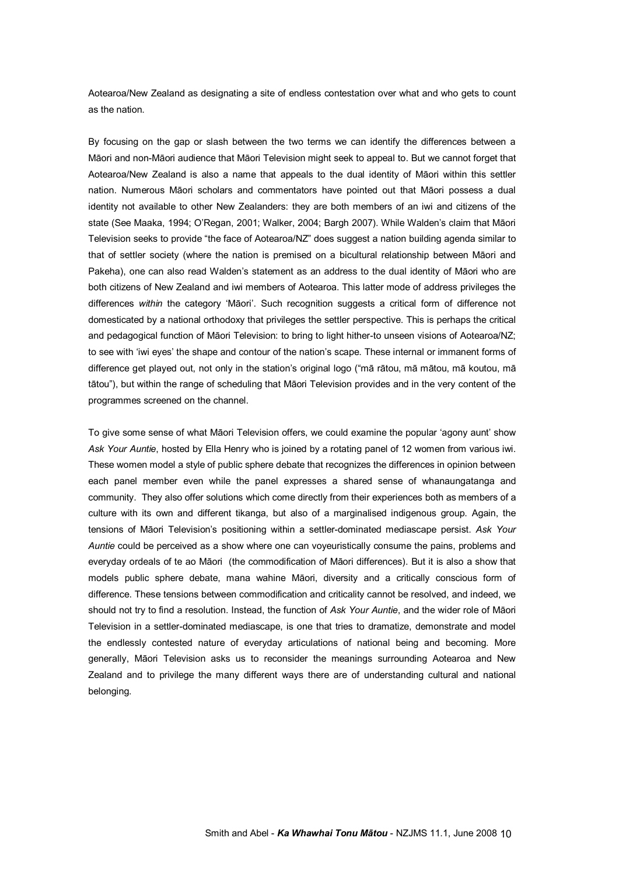Aotearoa/New Zealand as designating a site of endless contestation over what and who gets to count as the nation.

By focusing on the gap or slash between the two terms we can identify the differences between a Māori and non-Māori audience that Māori Television might seek to appeal to. But we cannot forget that Aotearoa/New Zealand is also a name that appeals to the dual identity of Māori within this settler nation. Numerous Māori scholars and commentators have pointed out that Māori possess a dual identity not available to other New Zealanders: they are both members of an iwi and citizens of the state (See Maaka, 1994; O'Regan, 2001; Walker, 2004; Bargh 2007). While Walden's claim that Māori Television seeks to provide "the face of Aotearoa/NZ" does suggest a nation building agenda similar to that of settler society (where the nation is premised on a bicultural relationship between Māori and Pakeha), one can also read Walden's statement as an address to the dual identity of Māori who are both citizens of New Zealand and iwi members of Aotearoa. This latter mode of address privileges the differences *within* the category 'Māori'. Such recognition suggests a critical form of difference not domesticated by a national orthodoxy that privileges the settler perspective. This is perhaps the critical and pedagogical function of Māori Television: to bring to light hither-to unseen visions of Aotearoa/NZ; to see with 'iwi eyes' the shape and contour of the nation's scape. These internal or immanent forms of difference get played out, not only in the station's original logo ("mā rātou, mā mātou, mā koutou, mā tātou"), but within the range of scheduling that Māori Television provides and in the very content of the programmes screened on the channel.

To give some sense of what Māori Television offers, we could examine the popular 'agony aunt' show *Ask Your Auntie*, hosted by Ella Henry who is joined by a rotating panel of 12 women from various iwi. These women model a style of public sphere debate that recognizes the differences in opinion between each panel member even while the panel expresses a shared sense of whanaungatanga and community. They also offer solutions which come directly from their experiences both as members of a culture with its own and different tikanga, but also of a marginalised indigenous group. Again, the tensions of Māori Television's positioning within a settler-dominated mediascape persist. Ask Your *Auntie* could be perceived as a show where one can voyeuristically consume the pains, problems and everyday ordeals of te ao Māori (the commodification of Māori differences). But it is also a show that models public sphere debate, mana wahine Māori, diversity and a critically conscious form of difference. These tensions between commodification and criticality cannot be resolved, and indeed, we should not try to find a resolution. Instead, the function of *Ask Your Auntie*, and the wider role of Māori Television in a settler-dominated mediascape, is one that tries to dramatize, demonstrate and model the endlessly contested nature of everyday articulations of national being and becoming. More generally, Māori Television asks us to reconsider the meanings surrounding Aotearoa and New Zealand and to privilege the many different ways there are of understanding cultural and national belonging.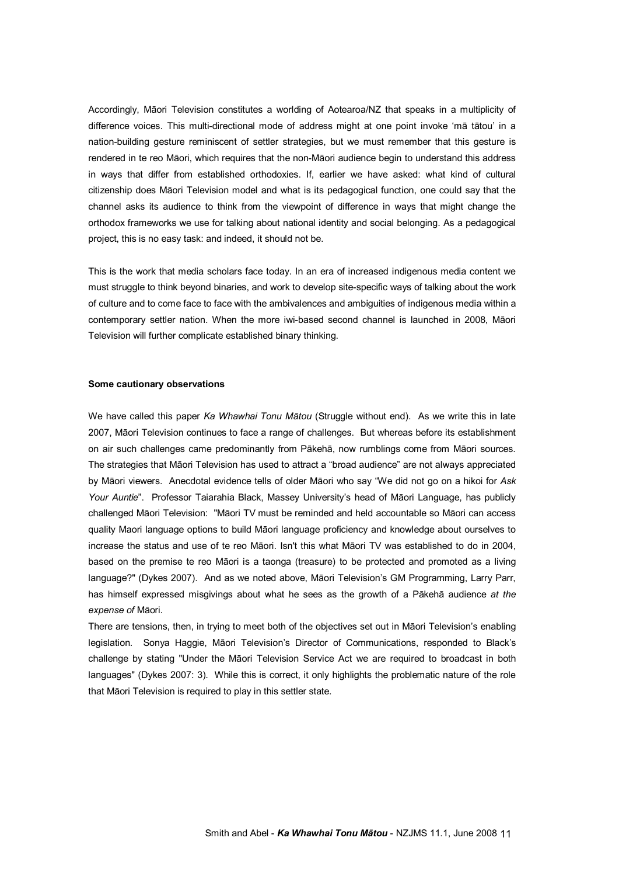Accordingly, Māori Television constitutes a worlding of Aotearoa/NZ that speaks in a multiplicity of difference voices. This multi-directional mode of address might at one point invoke 'mā tātou' in a nation-building gesture reminiscent of settler strategies, but we must remember that this gesture is rendered in te reo Māori, which requires that the non-Māori audience begin to understand this address in ways that differ from established orthodoxies. If, earlier we have asked: what kind of cultural citizenship does Māori Television model and what is its pedagogical function, one could say that the channel asks its audience to think from the viewpoint of difference in ways that might change the orthodox frameworks we use for talking about national identity and social belonging. As a pedagogical project, this is no easy task: and indeed, it should not be.

This is the work that media scholars face today. In an era of increased indigenous media content we must struggle to think beyond binaries, and work to develop sitespecific ways of talking about the work of culture and to come face to face with the ambivalences and ambiguities of indigenous media within a contemporary settler nation. When the more iwi-based second channel is launched in 2008, Māori Television will further complicate established binary thinking.

#### **Some cautionary observations**

We have called this paper *Ka Whawhai Tonu Mātou* (Struggle without end). As we write this in late 2007, Māori Television continues to face a range of challenges. But whereas before its establishment on air such challenges came predominantly from Pākehā, now rumblings come from Māori sources. The strategies that Māori Television has used to attract a "broad audience" are not always appreciated by Māori viewers. Anecdotal evidence tells of older Māori who say "We did not go on a hikoi for *Ask Your Auntie*". Professor Taiarahia Black, Massey University's head of Māori Language, has publicly challenged Māori Television: "Māori TV must be reminded and held accountable so Māori can access quality Maori language options to build Māori language proficiency and knowledge about ourselves to increase the status and use of te reo Māori. Isn't this what Māori TV was established to do in 2004, based on the premise te reo Māori is a taonga (treasure) to be protected and promoted as a living language?" (Dykes 2007). And as we noted above, Māori Television's GM Programming, Larry Parr, has himself expressed misgivings about what he sees as the growth of a Pākehā audience *at the expense of* Māori.

There are tensions, then, in trying to meet both of the objectives set out in Māori Television's enabling legislation. Sonya Haggie, Māori Television's Director of Communications, responded to Black's challenge by stating "Under the Māori Television Service Act we are required to broadcast in both languages" (Dykes 2007: 3). While this is correct, it only highlights the problematic nature of the role that Māori Television is required to play in this settler state.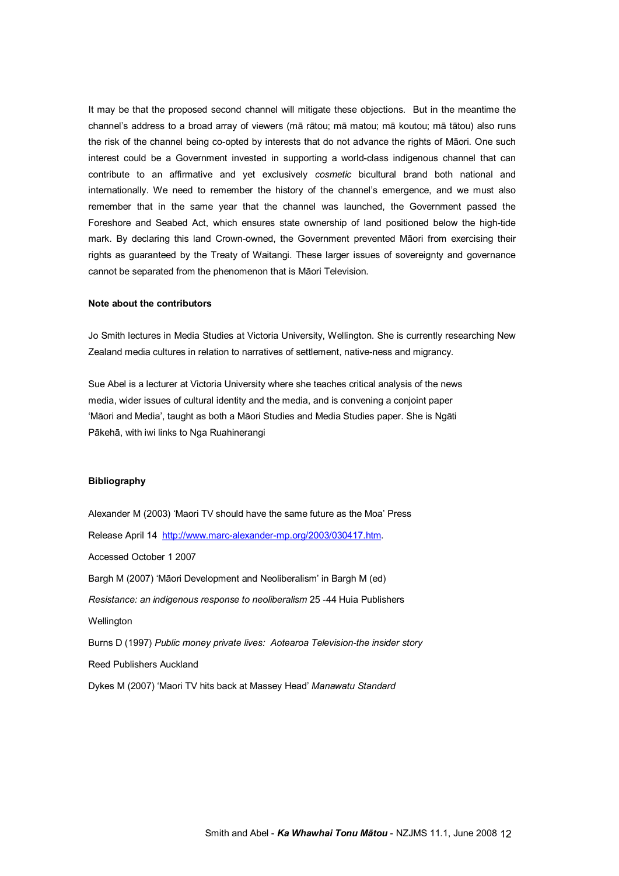It may be that the proposed second channel will mitigate these objections. But in the meantime the channel's address to a broad array of viewers (mā rātou; mā matou; mā koutou; mā tātou) also runs the risk of the channel being co-opted by interests that do not advance the rights of Māori. One such interest could be a Government invested in supporting a world-class indigenous channel that can contribute to an affirmative and yet exclusively *cosmetic* bicultural brand both national and internationally. We need to remember the history of the channel's emergence, and we must also remember that in the same year that the channel was launched, the Government passed the Foreshore and Seabed Act, which ensures state ownership of land positioned below the high-tide mark. By declaring this land Crown-owned, the Government prevented Maori from exercising their rights as guaranteed by the Treaty of Waitangi. These larger issues of sovereignty and governance cannot be separated from the phenomenon that is Māori Television.

#### **Note about the contributors**

Jo Smith lectures in Media Studies at Victoria University, Wellington. She is currently researching New Zealand media cultures in relation to narratives of settlement, native-ness and migrancy.

Sue Abel is a lecturer at Victoria University where she teaches critical analysis of the news media, wider issues of cultural identity and the media, and is convening a conjoint paper 'Māori and Media', taught as both a Māori Studies and Media Studies paper. She is Ngāti Pākehā, with iwi links to Nga Ruahinerangi

#### **Bibliography**

Alexander M (2003) 'Maori TV should have the same future as the Moa' Press Release April 14 http://www.marc-alexander-mp.org/2003/030417.htm. Accessed October 1 2007 Bargh M (2007) 'Māori Development and Neoliberalism' in Bargh M (ed) *Resistance: an indigenous response to neoliberalism* 25 44 Huia Publishers **Wellington** Burns D (1997) *Public money private lives: Aotearoa Television-the insider story* Reed Publishers Auckland Dykes M (2007) 'Maori TV hits back at Massey Head' *Manawatu Standard*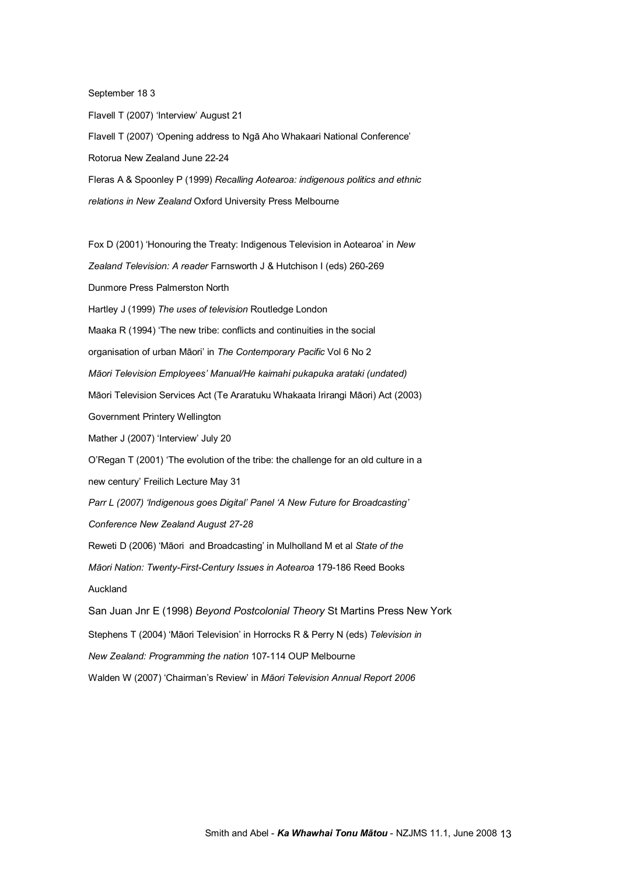September 18 3

Flavell T (2007) 'Interview' August 21 Flavell T (2007) 'Opening address to Ngā Aho Whakaari National Conference' Rotorua New Zealand June 22-24 Fleras A & Spoonley P (1999) *Recalling Aotearoa: indigenous politics and ethnic relations in New Zealand* Oxford University Press Melbourne

Fox D (2001) 'Honouring the Treaty: Indigenous Television in Aotearoa' in *New* Zealand *Television: A reader* Farnsworth J & Hutchison I (eds) 260-269 Dunmore Press Palmerston North Hartley J (1999) *The uses of television* Routledge London Maaka R (1994) 'The new tribe: conflicts and continuities in the social organisation of urban Māori' in *The Contemporary Pacific* Vol 6 No 2 *Māori Television Employees' Manual/He kaimahi pukapuka arataki (undated)* Māori Television Services Act (Te Araratuku Whakaata Irirangi Māori) Act (2003) Government Printery Wellington Mather J (2007) 'Interview' July 20 O'Regan T (2001) 'The evolution of the tribe: the challenge for an old culture in a new century' Freilich Lecture May 31 *Parr L (2007) 'Indigenous goes Digital' Panel 'A New Future for Broadcasting' Conference New Zealand August 2728* Reweti D (2006) 'Māori and Broadcasting' in Mulholland M et al *State of the Māori Nation: Twenty-First-Century Issues in Aotearoa 179-186 Reed Books* Auckland San Juan Jnr E (1998) *Beyond Postcolonial Theory* St Martins Press New York Stephens T (2004) 'Māori Television' in Horrocks R & Perry N (eds) *Television in New Zealand: Programming the nation* 107114 OUP Melbourne Walden W (2007) 'Chairman's Review' in *Māori Television Annual Report 2006*